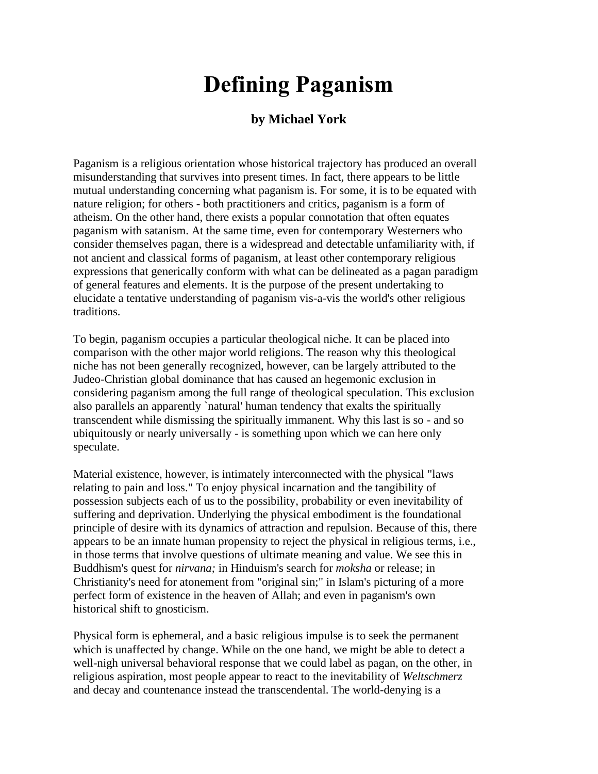## **Defining Paganism**

## **by Michael York**

Paganism is a religious orientation whose historical trajectory has produced an overall misunderstanding that survives into present times. In fact, there appears to be little mutual understanding concerning what paganism is. For some, it is to be equated with nature religion; for others - both practitioners and critics, paganism is a form of atheism. On the other hand, there exists a popular connotation that often equates paganism with satanism. At the same time, even for contemporary Westerners who consider themselves pagan, there is a widespread and detectable unfamiliarity with, if not ancient and classical forms of paganism, at least other contemporary religious expressions that generically conform with what can be delineated as a pagan paradigm of general features and elements. It is the purpose of the present undertaking to elucidate a tentative understanding of paganism vis-a-vis the world's other religious traditions.

To begin, paganism occupies a particular theological niche. It can be placed into comparison with the other major world religions. The reason why this theological niche has not been generally recognized, however, can be largely attributed to the Judeo-Christian global dominance that has caused an hegemonic exclusion in considering paganism among the full range of theological speculation. This exclusion also parallels an apparently `natural' human tendency that exalts the spiritually transcendent while dismissing the spiritually immanent. Why this last is so - and so ubiquitously or nearly universally - is something upon which we can here only speculate.

Material existence, however, is intimately interconnected with the physical "laws relating to pain and loss." To enjoy physical incarnation and the tangibility of possession subjects each of us to the possibility, probability or even inevitability of suffering and deprivation. Underlying the physical embodiment is the foundational principle of desire with its dynamics of attraction and repulsion. Because of this, there appears to be an innate human propensity to reject the physical in religious terms, i.e., in those terms that involve questions of ultimate meaning and value. We see this in Buddhism's quest for *nirvana;* in Hinduism's search for *moksha* or release; in Christianity's need for atonement from "original sin;" in Islam's picturing of a more perfect form of existence in the heaven of Allah; and even in paganism's own historical shift to gnosticism.

Physical form is ephemeral, and a basic religious impulse is to seek the permanent which is unaffected by change. While on the one hand, we might be able to detect a well-nigh universal behavioral response that we could label as pagan, on the other, in religious aspiration, most people appear to react to the inevitability of *Weltschmerz* and decay and countenance instead the transcendental. The world-denying is a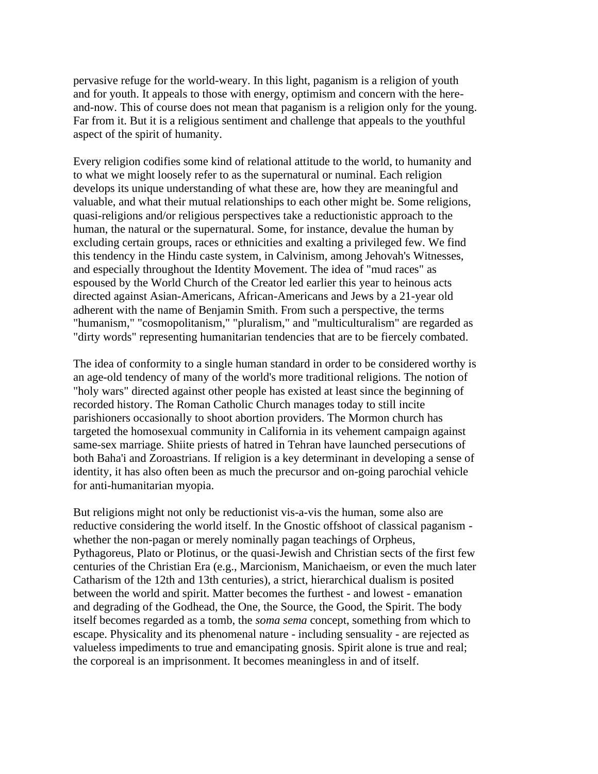pervasive refuge for the world-weary. In this light, paganism is a religion of youth and for youth. It appeals to those with energy, optimism and concern with the hereand-now. This of course does not mean that paganism is a religion only for the young. Far from it. But it is a religious sentiment and challenge that appeals to the youthful aspect of the spirit of humanity.

Every religion codifies some kind of relational attitude to the world, to humanity and to what we might loosely refer to as the supernatural or numinal. Each religion develops its unique understanding of what these are, how they are meaningful and valuable, and what their mutual relationships to each other might be. Some religions, quasi-religions and/or religious perspectives take a reductionistic approach to the human, the natural or the supernatural. Some, for instance, devalue the human by excluding certain groups, races or ethnicities and exalting a privileged few. We find this tendency in the Hindu caste system, in Calvinism, among Jehovah's Witnesses, and especially throughout the Identity Movement. The idea of "mud races" as espoused by the World Church of the Creator led earlier this year to heinous acts directed against Asian-Americans, African-Americans and Jews by a 21-year old adherent with the name of Benjamin Smith. From such a perspective, the terms "humanism," "cosmopolitanism," "pluralism," and "multiculturalism" are regarded as "dirty words" representing humanitarian tendencies that are to be fiercely combated.

The idea of conformity to a single human standard in order to be considered worthy is an age-old tendency of many of the world's more traditional religions. The notion of "holy wars" directed against other people has existed at least since the beginning of recorded history. The Roman Catholic Church manages today to still incite parishioners occasionally to shoot abortion providers. The Mormon church has targeted the homosexual community in California in its vehement campaign against same-sex marriage. Shiite priests of hatred in Tehran have launched persecutions of both Baha'i and Zoroastrians. If religion is a key determinant in developing a sense of identity, it has also often been as much the precursor and on-going parochial vehicle for anti-humanitarian myopia.

But religions might not only be reductionist vis-a-vis the human, some also are reductive considering the world itself. In the Gnostic offshoot of classical paganism whether the non-pagan or merely nominally pagan teachings of Orpheus, Pythagoreus, Plato or Plotinus, or the quasi-Jewish and Christian sects of the first few centuries of the Christian Era (e.g., Marcionism, Manichaeism, or even the much later Catharism of the 12th and 13th centuries), a strict, hierarchical dualism is posited between the world and spirit. Matter becomes the furthest - and lowest - emanation and degrading of the Godhead, the One, the Source, the Good, the Spirit. The body itself becomes regarded as a tomb, the *soma sema* concept, something from which to escape. Physicality and its phenomenal nature - including sensuality - are rejected as valueless impediments to true and emancipating gnosis. Spirit alone is true and real; the corporeal is an imprisonment. It becomes meaningless in and of itself.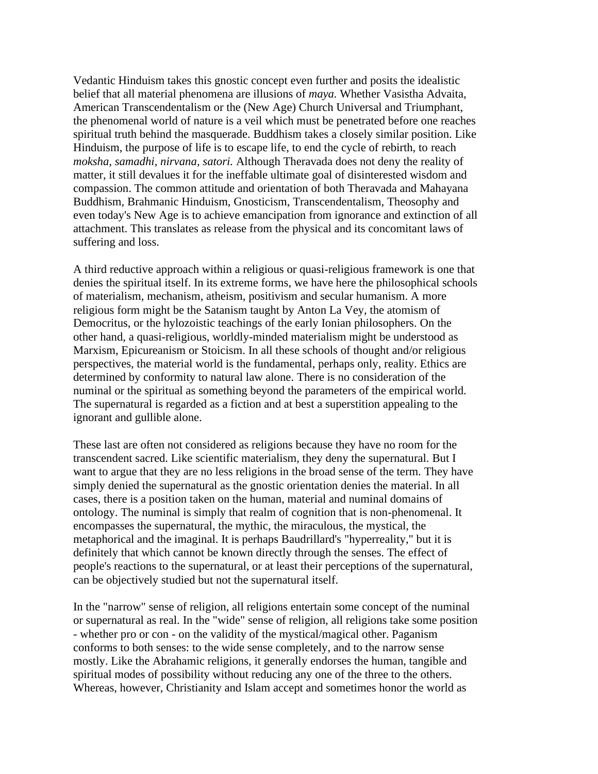Vedantic Hinduism takes this gnostic concept even further and posits the idealistic belief that all material phenomena are illusions of *maya.* Whether Vasistha Advaita, American Transcendentalism or the (New Age) Church Universal and Triumphant, the phenomenal world of nature is a veil which must be penetrated before one reaches spiritual truth behind the masquerade. Buddhism takes a closely similar position. Like Hinduism, the purpose of life is to escape life, to end the cycle of rebirth, to reach *moksha, samadhi, nirvana, satori.* Although Theravada does not deny the reality of matter, it still devalues it for the ineffable ultimate goal of disinterested wisdom and compassion. The common attitude and orientation of both Theravada and Mahayana Buddhism, Brahmanic Hinduism, Gnosticism, Transcendentalism, Theosophy and even today's New Age is to achieve emancipation from ignorance and extinction of all attachment. This translates as release from the physical and its concomitant laws of suffering and loss.

A third reductive approach within a religious or quasi-religious framework is one that denies the spiritual itself. In its extreme forms, we have here the philosophical schools of materialism, mechanism, atheism, positivism and secular humanism. A more religious form might be the Satanism taught by Anton La Vey, the atomism of Democritus, or the hylozoistic teachings of the early Ionian philosophers. On the other hand, a quasi-religious, worldly-minded materialism might be understood as Marxism, Epicureanism or Stoicism. In all these schools of thought and/or religious perspectives, the material world is the fundamental, perhaps only, reality. Ethics are determined by conformity to natural law alone. There is no consideration of the numinal or the spiritual as something beyond the parameters of the empirical world. The supernatural is regarded as a fiction and at best a superstition appealing to the ignorant and gullible alone.

These last are often not considered as religions because they have no room for the transcendent sacred. Like scientific materialism, they deny the supernatural. But I want to argue that they are no less religions in the broad sense of the term. They have simply denied the supernatural as the gnostic orientation denies the material. In all cases, there is a position taken on the human, material and numinal domains of ontology. The numinal is simply that realm of cognition that is non-phenomenal. It encompasses the supernatural, the mythic, the miraculous, the mystical, the metaphorical and the imaginal. It is perhaps Baudrillard's "hyperreality," but it is definitely that which cannot be known directly through the senses. The effect of people's reactions to the supernatural, or at least their perceptions of the supernatural, can be objectively studied but not the supernatural itself.

In the "narrow" sense of religion, all religions entertain some concept of the numinal or supernatural as real. In the "wide" sense of religion, all religions take some position - whether pro or con - on the validity of the mystical/magical other. Paganism conforms to both senses: to the wide sense completely, and to the narrow sense mostly. Like the Abrahamic religions, it generally endorses the human, tangible and spiritual modes of possibility without reducing any one of the three to the others. Whereas, however, Christianity and Islam accept and sometimes honor the world as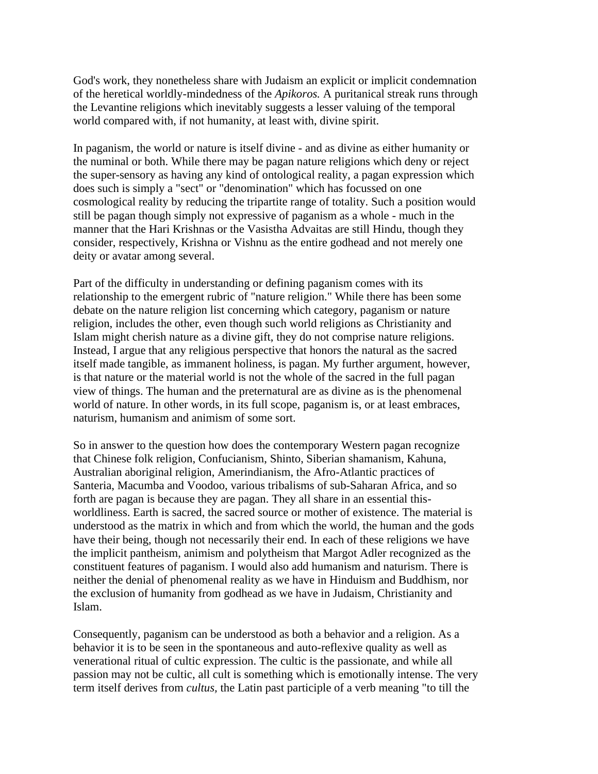God's work, they nonetheless share with Judaism an explicit or implicit condemnation of the heretical worldly-mindedness of the *Apikoros.* A puritanical streak runs through the Levantine religions which inevitably suggests a lesser valuing of the temporal world compared with, if not humanity, at least with, divine spirit.

In paganism, the world or nature is itself divine - and as divine as either humanity or the numinal or both. While there may be pagan nature religions which deny or reject the super-sensory as having any kind of ontological reality, a pagan expression which does such is simply a "sect" or "denomination" which has focussed on one cosmological reality by reducing the tripartite range of totality. Such a position would still be pagan though simply not expressive of paganism as a whole - much in the manner that the Hari Krishnas or the Vasistha Advaitas are still Hindu, though they consider, respectively, Krishna or Vishnu as the entire godhead and not merely one deity or avatar among several.

Part of the difficulty in understanding or defining paganism comes with its relationship to the emergent rubric of "nature religion." While there has been some debate on the nature religion list concerning which category, paganism or nature religion, includes the other, even though such world religions as Christianity and Islam might cherish nature as a divine gift, they do not comprise nature religions. Instead, I argue that any religious perspective that honors the natural as the sacred itself made tangible, as immanent holiness, is pagan. My further argument, however, is that nature or the material world is not the whole of the sacred in the full pagan view of things. The human and the preternatural are as divine as is the phenomenal world of nature. In other words, in its full scope, paganism is, or at least embraces, naturism, humanism and animism of some sort.

So in answer to the question how does the contemporary Western pagan recognize that Chinese folk religion, Confucianism, Shinto, Siberian shamanism, Kahuna, Australian aboriginal religion, Amerindianism, the Afro-Atlantic practices of Santeria, Macumba and Voodoo, various tribalisms of sub-Saharan Africa, and so forth are pagan is because they are pagan. They all share in an essential thisworldliness. Earth is sacred, the sacred source or mother of existence. The material is understood as the matrix in which and from which the world, the human and the gods have their being, though not necessarily their end. In each of these religions we have the implicit pantheism, animism and polytheism that Margot Adler recognized as the constituent features of paganism. I would also add humanism and naturism. There is neither the denial of phenomenal reality as we have in Hinduism and Buddhism, nor the exclusion of humanity from godhead as we have in Judaism, Christianity and Islam.

Consequently, paganism can be understood as both a behavior and a religion. As a behavior it is to be seen in the spontaneous and auto-reflexive quality as well as venerational ritual of cultic expression. The cultic is the passionate, and while all passion may not be cultic, all cult is something which is emotionally intense. The very term itself derives from *cultus,* the Latin past participle of a verb meaning "to till the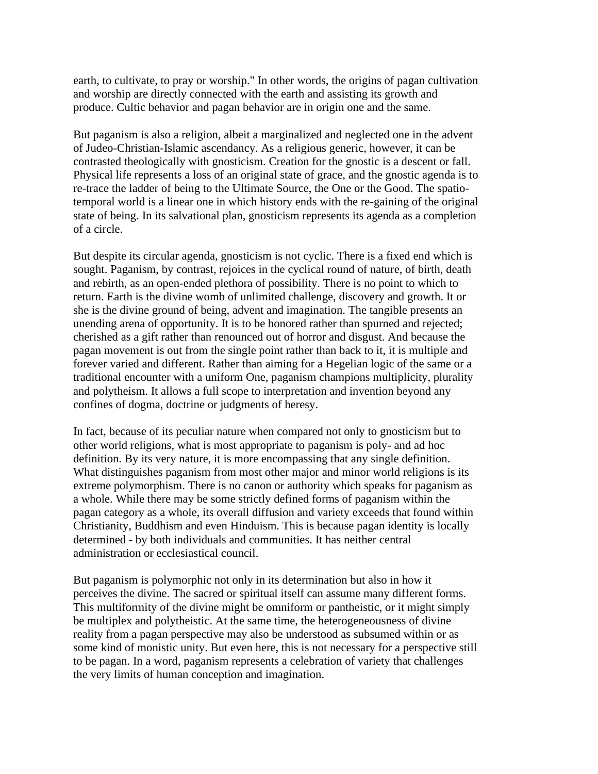earth, to cultivate, to pray or worship." In other words, the origins of pagan cultivation and worship are directly connected with the earth and assisting its growth and produce. Cultic behavior and pagan behavior are in origin one and the same.

But paganism is also a religion, albeit a marginalized and neglected one in the advent of Judeo-Christian-Islamic ascendancy. As a religious generic, however, it can be contrasted theologically with gnosticism. Creation for the gnostic is a descent or fall. Physical life represents a loss of an original state of grace, and the gnostic agenda is to re-trace the ladder of being to the Ultimate Source, the One or the Good. The spatiotemporal world is a linear one in which history ends with the re-gaining of the original state of being. In its salvational plan, gnosticism represents its agenda as a completion of a circle.

But despite its circular agenda, gnosticism is not cyclic. There is a fixed end which is sought. Paganism, by contrast, rejoices in the cyclical round of nature, of birth, death and rebirth, as an open-ended plethora of possibility. There is no point to which to return. Earth is the divine womb of unlimited challenge, discovery and growth. It or she is the divine ground of being, advent and imagination. The tangible presents an unending arena of opportunity. It is to be honored rather than spurned and rejected; cherished as a gift rather than renounced out of horror and disgust. And because the pagan movement is out from the single point rather than back to it, it is multiple and forever varied and different. Rather than aiming for a Hegelian logic of the same or a traditional encounter with a uniform One, paganism champions multiplicity, plurality and polytheism. It allows a full scope to interpretation and invention beyond any confines of dogma, doctrine or judgments of heresy.

In fact, because of its peculiar nature when compared not only to gnosticism but to other world religions, what is most appropriate to paganism is poly- and ad hoc definition. By its very nature, it is more encompassing that any single definition. What distinguishes paganism from most other major and minor world religions is its extreme polymorphism. There is no canon or authority which speaks for paganism as a whole. While there may be some strictly defined forms of paganism within the pagan category as a whole, its overall diffusion and variety exceeds that found within Christianity, Buddhism and even Hinduism. This is because pagan identity is locally determined - by both individuals and communities. It has neither central administration or ecclesiastical council.

But paganism is polymorphic not only in its determination but also in how it perceives the divine. The sacred or spiritual itself can assume many different forms. This multiformity of the divine might be omniform or pantheistic, or it might simply be multiplex and polytheistic. At the same time, the heterogeneousness of divine reality from a pagan perspective may also be understood as subsumed within or as some kind of monistic unity. But even here, this is not necessary for a perspective still to be pagan. In a word, paganism represents a celebration of variety that challenges the very limits of human conception and imagination.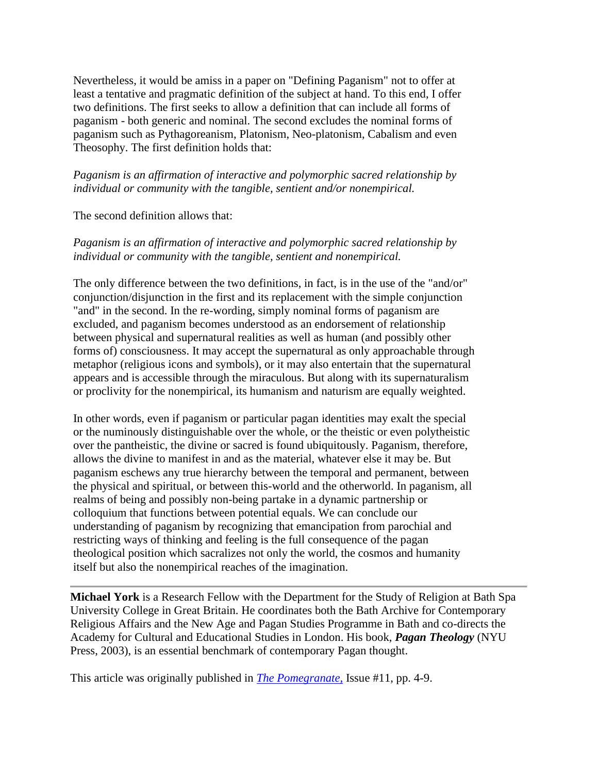Nevertheless, it would be amiss in a paper on "Defining Paganism" not to offer at least a tentative and pragmatic definition of the subject at hand. To this end, I offer two definitions. The first seeks to allow a definition that can include all forms of paganism - both generic and nominal. The second excludes the nominal forms of paganism such as Pythagoreanism, Platonism, Neo-platonism, Cabalism and even Theosophy. The first definition holds that:

## *Paganism is an affirmation of interactive and polymorphic sacred relationship by individual or community with the tangible, sentient and/or nonempirical.*

The second definition allows that:

## *Paganism is an affirmation of interactive and polymorphic sacred relationship by individual or community with the tangible, sentient and nonempirical.*

The only difference between the two definitions, in fact, is in the use of the "and/or" conjunction/disjunction in the first and its replacement with the simple conjunction "and" in the second. In the re-wording, simply nominal forms of paganism are excluded, and paganism becomes understood as an endorsement of relationship between physical and supernatural realities as well as human (and possibly other forms of) consciousness. It may accept the supernatural as only approachable through metaphor (religious icons and symbols), or it may also entertain that the supernatural appears and is accessible through the miraculous. But along with its supernaturalism or proclivity for the nonempirical, its humanism and naturism are equally weighted.

In other words, even if paganism or particular pagan identities may exalt the special or the numinously distinguishable over the whole, or the theistic or even polytheistic over the pantheistic, the divine or sacred is found ubiquitously. Paganism, therefore, allows the divine to manifest in and as the material, whatever else it may be. But paganism eschews any true hierarchy between the temporal and permanent, between the physical and spiritual, or between this-world and the otherworld. In paganism, all realms of being and possibly non-being partake in a dynamic partnership or colloquium that functions between potential equals. We can conclude our understanding of paganism by recognizing that emancipation from parochial and restricting ways of thinking and feeling is the full consequence of the pagan theological position which sacralizes not only the world, the cosmos and humanity itself but also the nonempirical reaches of the imagination.

**Michael York** is a Research Fellow with the Department for the Study of Religion at Bath Spa University College in Great Britain. He coordinates both the Bath Archive for Contemporary Religious Affairs and the New Age and Pagan Studies Programme in Bath and co-directs the Academy for Cultural and Educational Studies in London. His book, *Pagan Theology* (NYU Press, 2003), is an essential benchmark of contemporary Pagan thought.

This article was originally published in *[The Pomegranate,](http://www.equinoxpub.com/journals/main.asp?jref=51)* Issue #11, pp. 4-9.